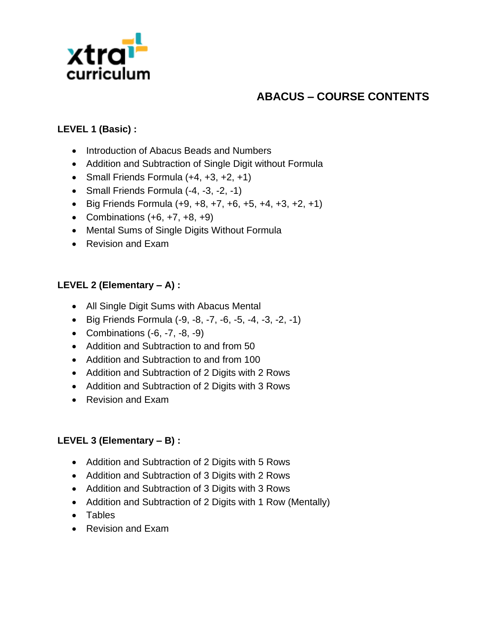

# **ABACUS – COURSE CONTENTS**

## **LEVEL 1 (Basic) :**

- Introduction of Abacus Beads and Numbers
- Addition and Subtraction of Single Digit without Formula
- Small Friends Formula  $(+4, +3, +2, +1)$
- Small Friends Formula (-4, -3, -2, -1)
- Big Friends Formula  $(+9, +8, +7, +6, +5, +4, +3, +2, +1)$
- Combinations  $(+6, +7, +8, +9)$
- Mental Sums of Single Digits Without Formula
- Revision and Exam

### **LEVEL 2 (Elementary – A) :**

- All Single Digit Sums with Abacus Mental
- Big Friends Formula (-9, -8, -7, -6, -5, -4, -3, -2, -1)
- Combinations  $(-6, -7, -8, -9)$
- Addition and Subtraction to and from 50
- Addition and Subtraction to and from 100
- Addition and Subtraction of 2 Digits with 2 Rows
- Addition and Subtraction of 2 Digits with 3 Rows
- Revision and Exam

#### **LEVEL 3 (Elementary – B) :**

- Addition and Subtraction of 2 Digits with 5 Rows
- Addition and Subtraction of 3 Digits with 2 Rows
- Addition and Subtraction of 3 Digits with 3 Rows
- Addition and Subtraction of 2 Digits with 1 Row (Mentally)
- Tables
- Revision and Exam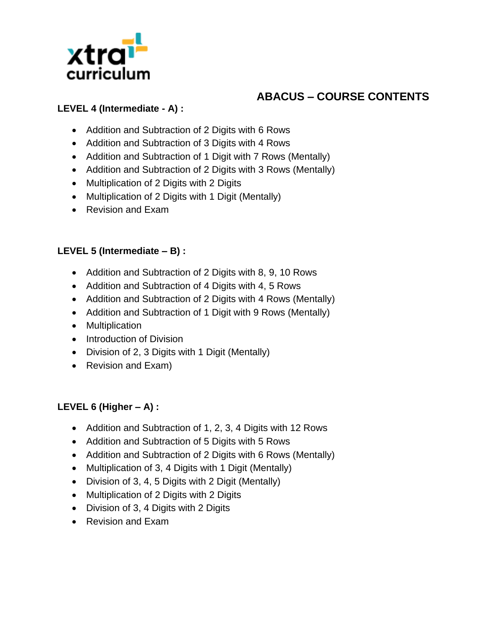

# **ABACUS – COURSE CONTENTS**

## **LEVEL 4 (Intermediate - A) :**

- Addition and Subtraction of 2 Digits with 6 Rows
- Addition and Subtraction of 3 Digits with 4 Rows
- Addition and Subtraction of 1 Digit with 7 Rows (Mentally)
- Addition and Subtraction of 2 Digits with 3 Rows (Mentally)
- Multiplication of 2 Digits with 2 Digits
- Multiplication of 2 Digits with 1 Digit (Mentally)
- Revision and Exam

#### **LEVEL 5 (Intermediate – B) :**

- Addition and Subtraction of 2 Digits with 8, 9, 10 Rows
- Addition and Subtraction of 4 Digits with 4, 5 Rows
- Addition and Subtraction of 2 Digits with 4 Rows (Mentally)
- Addition and Subtraction of 1 Digit with 9 Rows (Mentally)
- Multiplication
- Introduction of Division
- Division of 2, 3 Digits with 1 Digit (Mentally)
- Revision and Exam)

## **LEVEL 6 (Higher – A) :**

- Addition and Subtraction of 1, 2, 3, 4 Digits with 12 Rows
- Addition and Subtraction of 5 Digits with 5 Rows
- Addition and Subtraction of 2 Digits with 6 Rows (Mentally)
- Multiplication of 3, 4 Digits with 1 Digit (Mentally)
- Division of 3, 4, 5 Digits with 2 Digit (Mentally)
- Multiplication of 2 Digits with 2 Digits
- Division of 3, 4 Digits with 2 Digits
- Revision and Exam